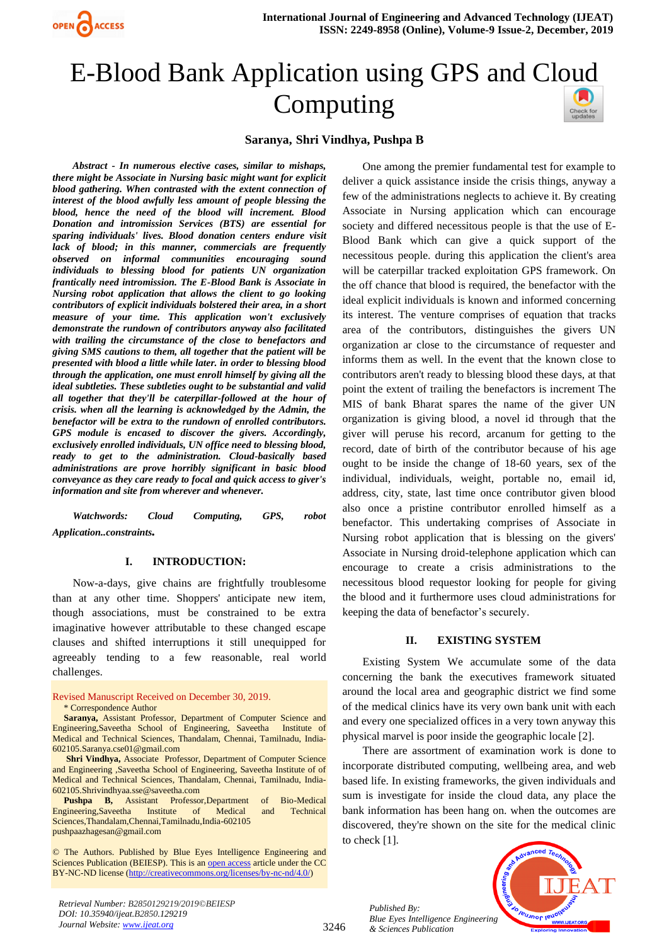

# E-Blood Bank Application using GPS and Cl[oud](https://crossmark.crossref.org/dialog/?doi=10.35940/ijeat.B2850.129219&domain=www.ijeat.org)  Computing



### **Saranya, Shri Vindhya, Pushpa B**

*Abstract - In numerous elective cases, similar to mishaps, there might be Associate in Nursing basic might want for explicit blood gathering. When contrasted with the extent connection of interest of the blood awfully less amount of people blessing the blood, hence the need of the blood will increment. Blood Donation and intromission Services (BTS) are essential for sparing individuals' lives. Blood donation centers endure visit lack of blood; in this manner, commercials are frequently observed on informal communities encouraging sound individuals to blessing blood for patients UN organization frantically need intromission. The E-Blood Bank is Associate in Nursing robot application that allows the client to go looking contributors of explicit individuals bolstered their area, in a short measure of your time. This application won't exclusively demonstrate the rundown of contributors anyway also facilitated with trailing the circumstance of the close to benefactors and giving SMS cautions to them, all together that the patient will be presented with blood a little while later. in order to blessing blood through the application, one must enroll himself by giving all the ideal subtleties. These subtleties ought to be substantial and valid all together that they'll be caterpillar-followed at the hour of crisis. when all the learning is acknowledged by the Admin, the benefactor will be extra to the rundown of enrolled contributors. GPS module is encased to discover the givers. Accordingly, exclusively enrolled individuals, UN office need to blessing blood, ready to get to the administration. Cloud-basically based administrations are prove horribly significant in basic blood conveyance as they care ready to focal and quick access to giver's information and site from wherever and whenever.* 

*Watchwords: Cloud Computing, GPS, robot Application..constraints.*

#### **I. INTRODUCTION:**

Now-a-days, give chains are frightfully troublesome than at any other time. Shoppers' anticipate new item, though associations, must be constrained to be extra imaginative however attributable to these changed escape clauses and shifted interruptions it still unequipped for agreeably tending to a few reasonable, real world challenges.

Revised Manuscript Received on December 30, 2019.

**Saranya,** Assistant Professor, Department of Computer Science and Engineering,Saveetha School of Engineering, Saveetha Institute of Medical and Technical Sciences, Thandalam, Chennai, Tamilnadu, India-602105[.Saranya.cse01@gmail.com](mailto:Saranya.cse01@gmail.com)

**Shri Vindhya,** Associate Professor, Department of Computer Science and Engineering ,Saveetha School of Engineering, Saveetha Institute of of Medical and Technical Sciences, Thandalam, Chennai, Tamilnadu, India-602105[.Shrivindhyaa.sse@saveetha.com](mailto:Shrivindhyaa.sse@saveetha.com)

**Pushpa B,** Assistant Professor,Department of Bio-Medical Engineering,Saveetha Institute of Medical and Technical Sciences,Thandalam,Chennai,Tamilnadu,India-602105 [pushpaazhagesan@gmail.com](mailto:pushpaazhagesan@gmail.com)

© The Authors. Published by Blue Eyes Intelligence Engineering and Sciences Publication (BEIESP). This is a[n open access](https://www.openaccess.nl/en/open-publications) article under the CC BY-NC-ND license [\(http://creativecommons.org/licenses/by-nc-nd/4.0/\)](http://creativecommons.org/licenses/by-nc-nd/4.0/)

One among the premier fundamental test for example to deliver a quick assistance inside the crisis things, anyway a few of the administrations neglects to achieve it. By creating Associate in Nursing application which can encourage society and differed necessitous people is that the use of E-Blood Bank which can give a quick support of the necessitous people. during this application the client's area will be caterpillar tracked exploitation GPS framework. On the off chance that blood is required, the benefactor with the ideal explicit individuals is known and informed concerning its interest. The venture comprises of equation that tracks area of the contributors, distinguishes the givers UN organization ar close to the circumstance of requester and informs them as well. In the event that the known close to contributors aren't ready to blessing blood these days, at that point the extent of trailing the benefactors is increment The MIS of bank Bharat spares the name of the giver UN organization is giving blood, a novel id through that the giver will peruse his record, arcanum for getting to the record, date of birth of the contributor because of his age ought to be inside the change of 18-60 years, sex of the individual, individuals, weight, portable no, email id, address, city, state, last time once contributor given blood also once a pristine contributor enrolled himself as a benefactor. This undertaking comprises of Associate in Nursing robot application that is blessing on the givers' Associate in Nursing droid-telephone application which can encourage to create a crisis administrations to the necessitous blood requestor looking for people for giving the blood and it furthermore uses cloud administrations for keeping the data of benefactor's securely.

#### **II. EXISTING SYSTEM**

Existing System We accumulate some of the data concerning the bank the executives framework situated around the local area and geographic district we find some of the medical clinics have its very own bank unit with each and every one specialized offices in a very town anyway this physical marvel is poor inside the geographic locale [2].

There are assortment of examination work is done to incorporate distributed computing, wellbeing area, and web based life. In existing frameworks, the given individuals and sum is investigate for inside the cloud data, any place the bank information has been hang on. when the outcomes are discovered, they're shown on the site for the medical clinic to check [1].



*Published By:*

*& Sciences Publication* 

<sup>\*</sup> Correspondence Author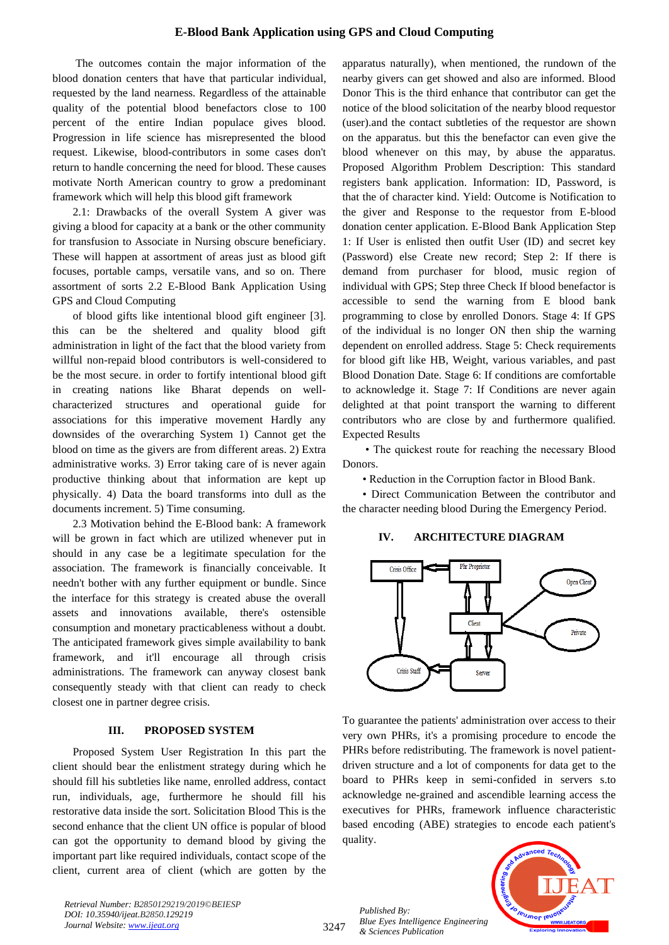#### **E-Blood Bank Application using GPS and Cloud Computing**

The outcomes contain the major information of the blood donation centers that have that particular individual, requested by the land nearness. Regardless of the attainable quality of the potential blood benefactors close to 100 percent of the entire Indian populace gives blood. Progression in life science has misrepresented the blood request. Likewise, blood-contributors in some cases don't return to handle concerning the need for blood. These causes motivate North American country to grow a predominant framework which will help this blood gift framework

2.1: Drawbacks of the overall System A giver was giving a blood for capacity at a bank or the other community for transfusion to Associate in Nursing obscure beneficiary. These will happen at assortment of areas just as blood gift focuses, portable camps, versatile vans, and so on. There assortment of sorts 2.2 E-Blood Bank Application Using GPS and Cloud Computing

of blood gifts like intentional blood gift engineer [3]. this can be the sheltered and quality blood gift administration in light of the fact that the blood variety from willful non-repaid blood contributors is well-considered to be the most secure. in order to fortify intentional blood gift in creating nations like Bharat depends on wellcharacterized structures and operational guide for associations for this imperative movement Hardly any downsides of the overarching System 1) Cannot get the blood on time as the givers are from different areas. 2) Extra administrative works. 3) Error taking care of is never again productive thinking about that information are kept up physically. 4) Data the board transforms into dull as the documents increment. 5) Time consuming.

2.3 Motivation behind the E-Blood bank: A framework will be grown in fact which are utilized whenever put in should in any case be a legitimate speculation for the association. The framework is financially conceivable. It needn't bother with any further equipment or bundle. Since the interface for this strategy is created abuse the overall assets and innovations available, there's ostensible consumption and monetary practicableness without a doubt. The anticipated framework gives simple availability to bank framework, and it'll encourage all through crisis administrations. The framework can anyway closest bank consequently steady with that client can ready to check closest one in partner degree crisis.

#### **III. PROPOSED SYSTEM**

Proposed System User Registration In this part the client should bear the enlistment strategy during which he should fill his subtleties like name, enrolled address, contact run, individuals, age, furthermore he should fill his restorative data inside the sort. Solicitation Blood This is the second enhance that the client UN office is popular of blood can got the opportunity to demand blood by giving the important part like required individuals, contact scope of the client, current area of client (which are gotten by the apparatus naturally), when mentioned, the rundown of the nearby givers can get showed and also are informed. Blood Donor This is the third enhance that contributor can get the notice of the blood solicitation of the nearby blood requestor (user).and the contact subtleties of the requestor are shown on the apparatus. but this the benefactor can even give the blood whenever on this may, by abuse the apparatus. Proposed Algorithm Problem Description: This standard registers bank application. Information: ID, Password, is that the of character kind. Yield: Outcome is Notification to the giver and Response to the requestor from E-blood donation center application. E-Blood Bank Application Step 1: If User is enlisted then outfit User (ID) and secret key (Password) else Create new record; Step 2: If there is demand from purchaser for blood, music region of individual with GPS; Step three Check If blood benefactor is accessible to send the warning from E blood bank programming to close by enrolled Donors. Stage 4: If GPS of the individual is no longer ON then ship the warning dependent on enrolled address. Stage 5: Check requirements for blood gift like HB, Weight, various variables, and past Blood Donation Date. Stage 6: If conditions are comfortable to acknowledge it. Stage 7: If Conditions are never again delighted at that point transport the warning to different contributors who are close by and furthermore qualified. Expected Results

• The quickest route for reaching the necessary Blood Donors.

• Reduction in the Corruption factor in Blood Bank.

• Direct Communication Between the contributor and the character needing blood During the Emergency Period.

#### **IV. ARCHITECTURE DIAGRAM**



To guarantee the patients' administration over access to their very own PHRs, it's a promising procedure to encode the PHRs before redistributing. The framework is novel patientdriven structure and a lot of components for data get to the board to PHRs keep in semi-confided in servers s.to acknowledge ne-grained and ascendible learning access the executives for PHRs, framework influence characteristic based encoding (ABE) strategies to encode each patient's quality.

*Published By: Blue Eyes Intelligence Engineering & Sciences Publication* 



*Retrieval Number: B2850129219/2019©BEIESP DOI: 10.35940/ijeat.B2850.129219 Journal Website[: www.ijeat.org](http://www.ijeat.org/)*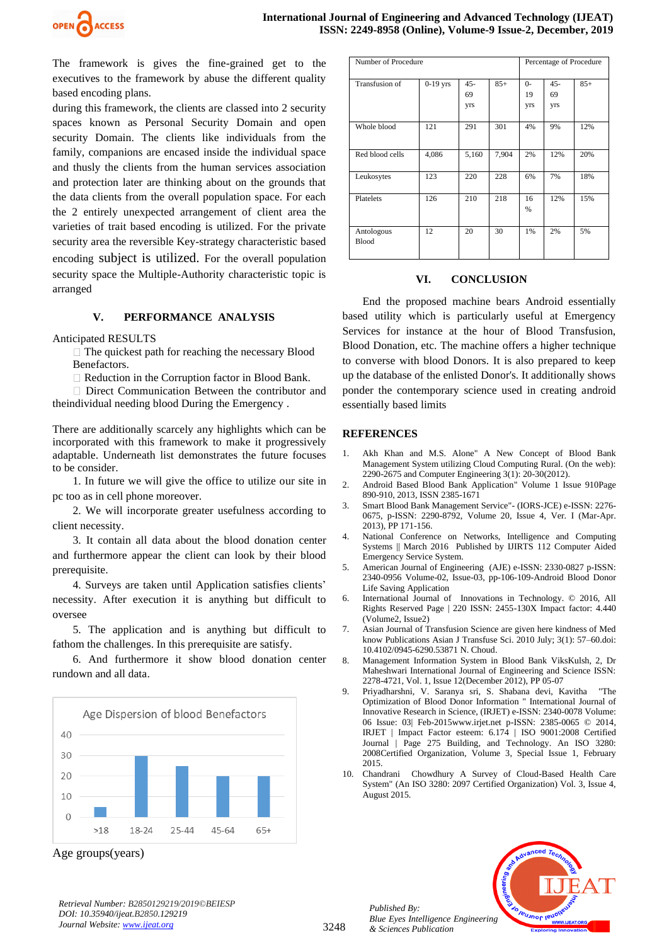

The framework is gives the fine-grained get to the executives to the framework by abuse the different quality based encoding plans.

during this framework, the clients are classed into 2 security spaces known as Personal Security Domain and open security Domain. The clients like individuals from the family, companions are encased inside the individual space and thusly the clients from the human services association and protection later are thinking about on the grounds that the data clients from the overall population space. For each the 2 entirely unexpected arrangement of client area the varieties of trait based encoding is utilized. For the private security area the reversible Key-strategy characteristic based encoding subject is utilized. For the overall population security space the Multiple-Authority characteristic topic is arranged

#### **V. PERFORMANCE ANALYSIS**

#### Anticipated RESULTS

 $\Box$  The quickest path for reaching the necessary Blood Benefactors.

 $\Box$  Reduction in the Corruption factor in Blood Bank.

□ Direct Communication Between the contributor and theindividual needing blood During the Emergency .

There are additionally scarcely any highlights which can be incorporated with this framework to make it progressively adaptable. Underneath list demonstrates the future focuses to be consider.

1. In future we will give the office to utilize our site in pc too as in cell phone moreover.

2. We will incorporate greater usefulness according to client necessity.

3. It contain all data about the blood donation center and furthermore appear the client can look by their blood prerequisite.

4. Surveys are taken until Application satisfies clients' necessity. After execution it is anything but difficult to oversee

5. The application and is anything but difficult to fathom the challenges. In this prerequisite are satisfy.

6. And furthermore it show blood donation center rundown and all data.



Age groups(years)

*Retrieval Number: B2850129219/2019©BEIESP DOI: 10.35940/ijeat.B2850.129219 Journal Website[: www.ijeat.org](http://www.ijeat.org/)*

| Number of Procedure |            |                            |       | Percentage of Procedure  |                     |       |
|---------------------|------------|----------------------------|-------|--------------------------|---------------------|-------|
| Transfusion of      | $0-19$ yrs | $45 -$<br>69<br><b>Vrs</b> | $85+$ | $0-$<br>19<br><b>Vrs</b> | $45 -$<br>69<br>yrs | $85+$ |
| Whole blood         | 121        | 291                        | 301   | 4%                       | 9%                  | 12%   |
| Red blood cells     | 4,086      | 5,160                      | 7,904 | 2%                       | 12%                 | 20%   |
| Leukosytes          | 123        | 220                        | 228   | 6%                       | 7%                  | 18%   |
| Platelets           | 126        | 210                        | 218   | 16<br>%                  | 12%                 | 15%   |
| Antologous<br>Blood | 12         | 20                         | 30    | 1%                       | 2%                  | 5%    |

#### **VI. CONCLUSION**

End the proposed machine bears Android essentially based utility which is particularly useful at Emergency Services for instance at the hour of Blood Transfusion, Blood Donation, etc. The machine offers a higher technique to converse with blood Donors. It is also prepared to keep up the database of the enlisted Donor's. It additionally shows ponder the contemporary science used in creating android essentially based limits

#### **REFERENCES**

- 1. Akh Khan and M.S. Alone" A New Concept of Blood Bank Management System utilizing Cloud Computing Rural. (On the web): 2290-2675 and Computer Engineering 3(1): 20-30(2012).
- 2. Android Based Blood Bank Application" Volume 1 Issue 910Page 890-910, 2013, ISSN 2385-1671
- 3. Smart Blood Bank Management Service"- (IORS-JCE) e-ISSN: 2276- 0675, p-ISSN: 2290-8792, Volume 20, Issue 4, Ver. I (Mar-Apr. 2013), PP 171-156.
- 4. National Conference on Networks, Intelligence and Computing Systems || March 2016 Published by IJIRTS 112 Computer Aided Emergency Service System.
- 5. American Journal of Engineering (AJE) e-ISSN: 2330-0827 p-ISSN: 2340-0956 Volume-02, Issue-03, pp-106-109-Android Blood Donor Life Saving Application
- 6. International Journal of Innovations in Technology. © 2016, All Rights Reserved Page | 220 ISSN: 2455-130X Impact factor: 4.440 (Volume2, Issue2)
- 7. Asian Journal of Transfusion Science are given here kindness of Med know Publications Asian J Transfuse Sci. 2010 July; 3(1): 57–60.doi: 10.4102/0945-6290.53871 N. Choud.
- 8. Management Information System in Blood Bank ViksKulsh, 2, Dr Maheshwari International Journal of Engineering and Science ISSN: 2278-4721, Vol. 1, Issue 12(December 2012), PP 05-07
- 9. Priyadharshni, V. Saranya sri, S. Shabana devi, Kavitha "The Optimization of Blood Donor Information " International Journal of Innovative Research in Science, (IRJET) e-ISSN: 2340-0078 Volume: 06 Issue: 03| Feb-2015www.irjet.net p-ISSN: 2385-0065 © 2014, IRJET | Impact Factor esteem: 6.174 | ISO 9001:2008 Certified Journal | Page 275 Building, and Technology. An ISO 3280: 2008Certified Organization, Volume 3, Special Issue 1, February 2015.
- 10. Chandrani Chowdhury A Survey of Cloud-Based Health Care System" (An ISO 3280: 2097 Certified Organization) Vol. 3, Issue 4, August 2015.



*Published By:*

*& Sciences Publication*